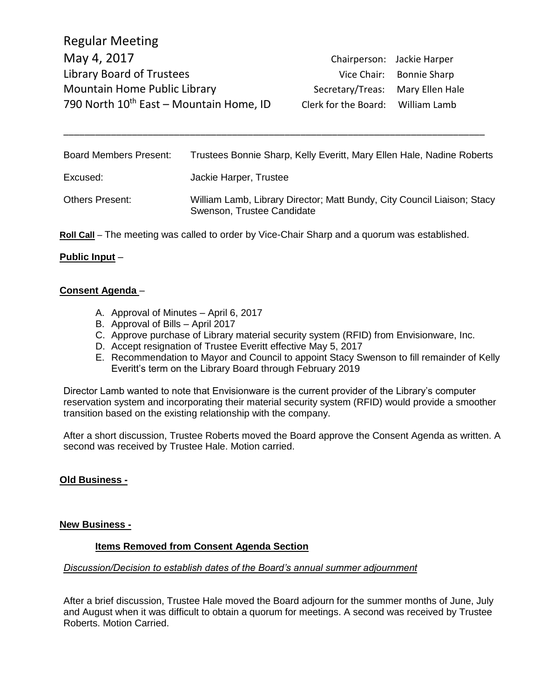| Chairperson: Jackie Harper        |
|-----------------------------------|
| Vice Chair: Bonnie Sharp          |
| Secretary/Treas: Mary Ellen Hale  |
| Clerk for the Board: William Lamb |
|                                   |

| <b>Board Members Present:</b> | Trustees Bonnie Sharp, Kelly Everitt, Mary Ellen Hale, Nadine Roberts                                 |
|-------------------------------|-------------------------------------------------------------------------------------------------------|
| Excused:                      | Jackie Harper, Trustee                                                                                |
| <b>Others Present:</b>        | William Lamb, Library Director; Matt Bundy, City Council Liaison; Stacy<br>Swenson, Trustee Candidate |

\_\_\_\_\_\_\_\_\_\_\_\_\_\_\_\_\_\_\_\_\_\_\_\_\_\_\_\_\_\_\_\_\_\_\_\_\_\_\_\_\_\_\_\_\_\_\_\_\_\_\_\_\_\_\_\_\_\_\_\_\_\_\_\_\_\_\_\_\_\_\_\_\_\_\_\_\_\_\_\_

**Roll Call** – The meeting was called to order by Vice-Chair Sharp and a quorum was established.

# **Public Input** –

## **Consent Agenda** –

- A. Approval of Minutes April 6, 2017
- B. Approval of Bills April 2017
- C. Approve purchase of Library material security system (RFID) from Envisionware, Inc.
- D. Accept resignation of Trustee Everitt effective May 5, 2017
- E. Recommendation to Mayor and Council to appoint Stacy Swenson to fill remainder of Kelly Everitt's term on the Library Board through February 2019

Director Lamb wanted to note that Envisionware is the current provider of the Library's computer reservation system and incorporating their material security system (RFID) would provide a smoother transition based on the existing relationship with the company.

After a short discussion, Trustee Roberts moved the Board approve the Consent Agenda as written. A second was received by Trustee Hale. Motion carried.

# **Old Business -**

#### **New Business -**

#### **Items Removed from Consent Agenda Section**

### *Discussion/Decision to establish dates of the Board's annual summer adjournment*

After a brief discussion, Trustee Hale moved the Board adjourn for the summer months of June, July and August when it was difficult to obtain a quorum for meetings. A second was received by Trustee Roberts. Motion Carried.